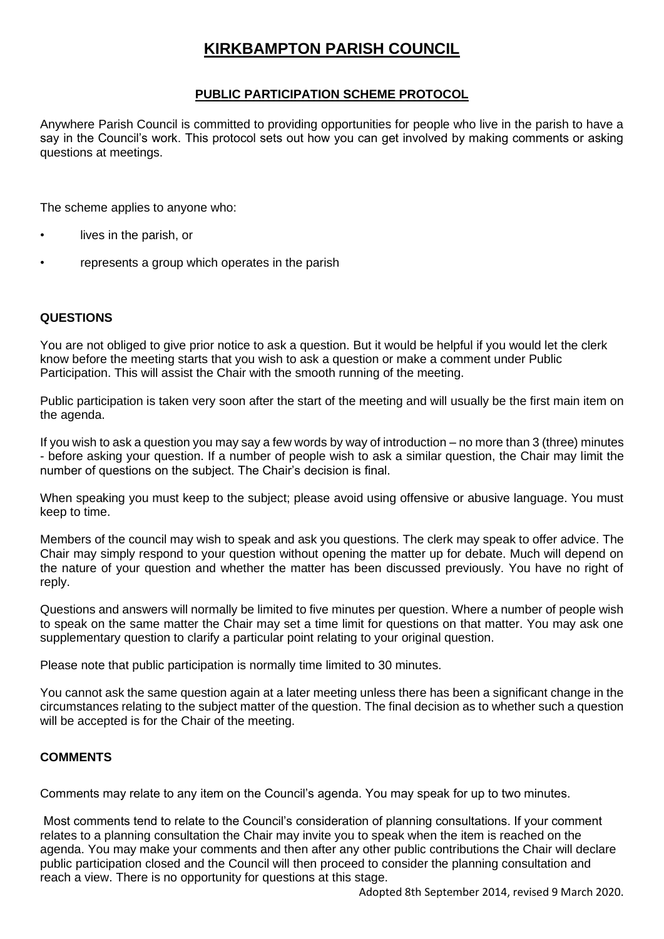# **KIRKBAMPTON PARISH COUNCIL**

### **PUBLIC PARTICIPATION SCHEME PROTOCOL**

Anywhere Parish Council is committed to providing opportunities for people who live in the parish to have a say in the Council's work. This protocol sets out how you can get involved by making comments or asking questions at meetings.

The scheme applies to anyone who:

- lives in the parish, or
- represents a group which operates in the parish

#### **QUESTIONS**

You are not obliged to give prior notice to ask a question. But it would be helpful if you would let the clerk know before the meeting starts that you wish to ask a question or make a comment under Public Participation. This will assist the Chair with the smooth running of the meeting.

Public participation is taken very soon after the start of the meeting and will usually be the first main item on the agenda.

If you wish to ask a question you may say a few words by way of introduction – no more than 3 (three) minutes - before asking your question. If a number of people wish to ask a similar question, the Chair may limit the number of questions on the subject. The Chair's decision is final.

When speaking you must keep to the subject; please avoid using offensive or abusive language. You must keep to time.

Members of the council may wish to speak and ask you questions. The clerk may speak to offer advice. The Chair may simply respond to your question without opening the matter up for debate. Much will depend on the nature of your question and whether the matter has been discussed previously. You have no right of reply.

Questions and answers will normally be limited to five minutes per question. Where a number of people wish to speak on the same matter the Chair may set a time limit for questions on that matter. You may ask one supplementary question to clarify a particular point relating to your original question.

Please note that public participation is normally time limited to 30 minutes.

You cannot ask the same question again at a later meeting unless there has been a significant change in the circumstances relating to the subject matter of the question. The final decision as to whether such a question will be accepted is for the Chair of the meeting.

#### **COMMENTS**

Comments may relate to any item on the Council's agenda. You may speak for up to two minutes.

Most comments tend to relate to the Council's consideration of planning consultations. If your comment relates to a planning consultation the Chair may invite you to speak when the item is reached on the agenda. You may make your comments and then after any other public contributions the Chair will declare public participation closed and the Council will then proceed to consider the planning consultation and reach a view. There is no opportunity for questions at this stage.